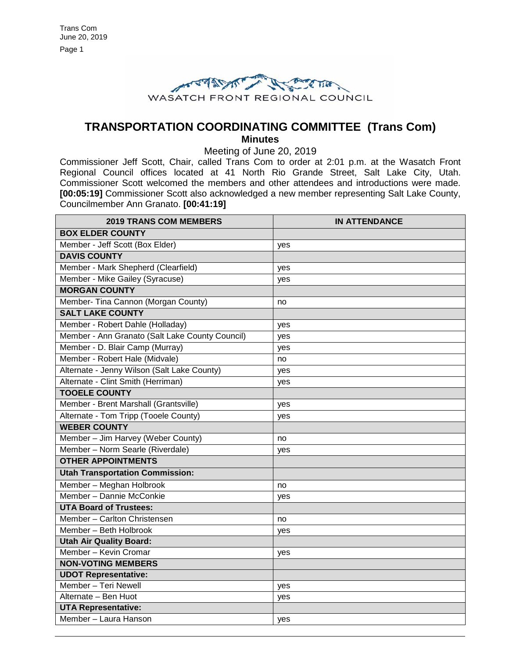

# **TRANSPORTATION COORDINATING COMMITTEE (Trans Com) Minutes**

Meeting of June 20, 2019

Commissioner Jeff Scott, Chair, called Trans Com to order at 2:01 p.m. at the Wasatch Front Regional Council offices located at 41 North Rio Grande Street, Salt Lake City, Utah. Commissioner Scott welcomed the members and other attendees and introductions were made. **[00:05:19]** Commissioner Scott also acknowledged a new member representing Salt Lake County, Councilmember Ann Granato. **[00:41:19]**

| <b>2019 TRANS COM MEMBERS</b>                   | <b>IN ATTENDANCE</b> |
|-------------------------------------------------|----------------------|
| <b>BOX ELDER COUNTY</b>                         |                      |
| Member - Jeff Scott (Box Elder)                 | yes                  |
| <b>DAVIS COUNTY</b>                             |                      |
| Member - Mark Shepherd (Clearfield)             | yes                  |
| Member - Mike Gailey (Syracuse)                 | yes                  |
| <b>MORGAN COUNTY</b>                            |                      |
| Member- Tina Cannon (Morgan County)             | no                   |
| <b>SALT LAKE COUNTY</b>                         |                      |
| Member - Robert Dahle (Holladay)                | yes                  |
| Member - Ann Granato (Salt Lake County Council) | yes                  |
| Member - D. Blair Camp (Murray)                 | yes                  |
| Member - Robert Hale (Midvale)                  | no                   |
| Alternate - Jenny Wilson (Salt Lake County)     | yes                  |
| Alternate - Clint Smith (Herriman)              | yes                  |
| <b>TOOELE COUNTY</b>                            |                      |
| Member - Brent Marshall (Grantsville)           | yes                  |
| Alternate - Tom Tripp (Tooele County)           | yes                  |
| <b>WEBER COUNTY</b>                             |                      |
| Member - Jim Harvey (Weber County)              | no                   |
| Member - Norm Searle (Riverdale)                | yes                  |
| <b>OTHER APPOINTMENTS</b>                       |                      |
| <b>Utah Transportation Commission:</b>          |                      |
| Member - Meghan Holbrook                        | no                   |
| Member - Dannie McConkie                        | yes                  |
| <b>UTA Board of Trustees:</b>                   |                      |
| Member - Carlton Christensen                    | no                   |
| Member - Beth Holbrook                          | yes                  |
| <b>Utah Air Quality Board:</b>                  |                      |
| Member - Kevin Cromar                           | yes                  |
| <b>NON-VOTING MEMBERS</b>                       |                      |
| <b>UDOT Representative:</b>                     |                      |
| Member - Teri Newell                            | yes                  |
| Alternate - Ben Huot                            | yes                  |
| <b>UTA Representative:</b>                      |                      |
| Member - Laura Hanson                           | yes                  |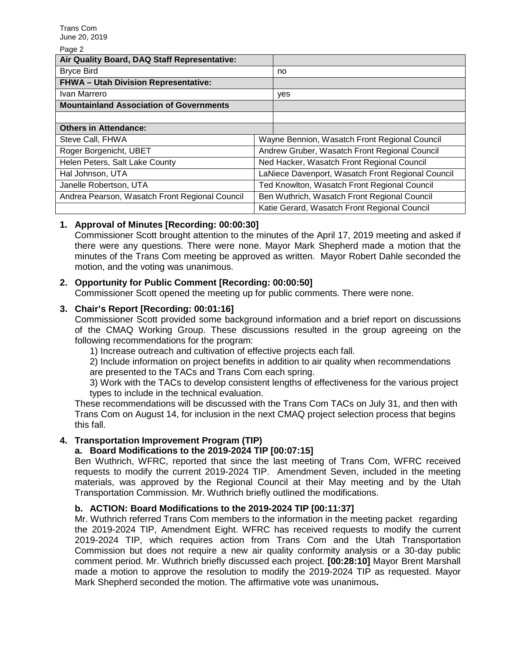Page 2

| Air Quality Board, DAQ Staff Representative:   |                                                   |                                               |  |
|------------------------------------------------|---------------------------------------------------|-----------------------------------------------|--|
| <b>Bryce Bird</b>                              |                                                   | no                                            |  |
| <b>FHWA- Utah Division Representative:</b>     |                                                   |                                               |  |
| Ivan Marrero                                   |                                                   | yes                                           |  |
| <b>Mountainland Association of Governments</b> |                                                   |                                               |  |
|                                                |                                                   |                                               |  |
| <b>Others in Attendance:</b>                   |                                                   |                                               |  |
| Steve Call, FHWA                               |                                                   | Wayne Bennion, Wasatch Front Regional Council |  |
| Roger Borgenicht, UBET                         |                                                   | Andrew Gruber, Wasatch Front Regional Council |  |
| Helen Peters, Salt Lake County                 | Ned Hacker, Wasatch Front Regional Council        |                                               |  |
| Hal Johnson, UTA                               | LaNiece Davenport, Wasatch Front Regional Council |                                               |  |
| Janelle Robertson, UTA                         |                                                   | Ted Knowlton, Wasatch Front Regional Council  |  |
| Andrea Pearson, Wasatch Front Regional Council |                                                   | Ben Wuthrich, Wasatch Front Regional Council  |  |
|                                                | Katie Gerard, Wasatch Front Regional Council      |                                               |  |

## **1. Approval of Minutes [Recording: 00:00:30]**

Commissioner Scott brought attention to the minutes of the April 17, 2019 meeting and asked if there were any questions. There were none. Mayor Mark Shepherd made a motion that the minutes of the Trans Com meeting be approved as written. Mayor Robert Dahle seconded the motion, and the voting was unanimous.

## **2. Opportunity for Public Comment [Recording: 00:00:50]**

Commissioner Scott opened the meeting up for public comments. There were none.

#### **3. Chair's Report [Recording: 00:01:16]**

Commissioner Scott provided some background information and a brief report on discussions of the CMAQ Working Group. These discussions resulted in the group agreeing on the following recommendations for the program:

1) Increase outreach and cultivation of effective projects each fall.

2) Include information on project benefits in addition to air quality when recommendations are presented to the TACs and Trans Com each spring.

3) Work with the TACs to develop consistent lengths of effectiveness for the various project types to include in the technical evaluation.

These recommendations will be discussed with the Trans Com TACs on July 31, and then with Trans Com on August 14, for inclusion in the next CMAQ project selection process that begins this fall.

#### **4. Transportation Improvement Program (TIP)**

#### **a. Board Modifications to the 2019-2024 TIP [00:07:15]**

Ben Wuthrich, WFRC, reported that since the last meeting of Trans Com, WFRC received requests to modify the current 2019-2024 TIP. Amendment Seven, included in the meeting materials, was approved by the Regional Council at their May meeting and by the Utah Transportation Commission. Mr. Wuthrich briefly outlined the modifications.

#### **b. ACTION: Board Modifications to the 2019-2024 TIP [00:11:37]**

Mr. Wuthrich referred Trans Com members to the information in the meeting packet regarding the 2019-2024 TIP, Amendment Eight. WFRC has received requests to modify the current 2019-2024 TIP, which requires action from Trans Com and the Utah Transportation Commission but does not require a new air quality conformity analysis or a 30-day public comment period. Mr. Wuthrich briefly discussed each project. **[00:28:10]** Mayor Brent Marshall made a motion to approve the resolution to modify the 2019-2024 TIP as requested. Mayor Mark Shepherd seconded the motion. The affirmative vote was unanimous**.**